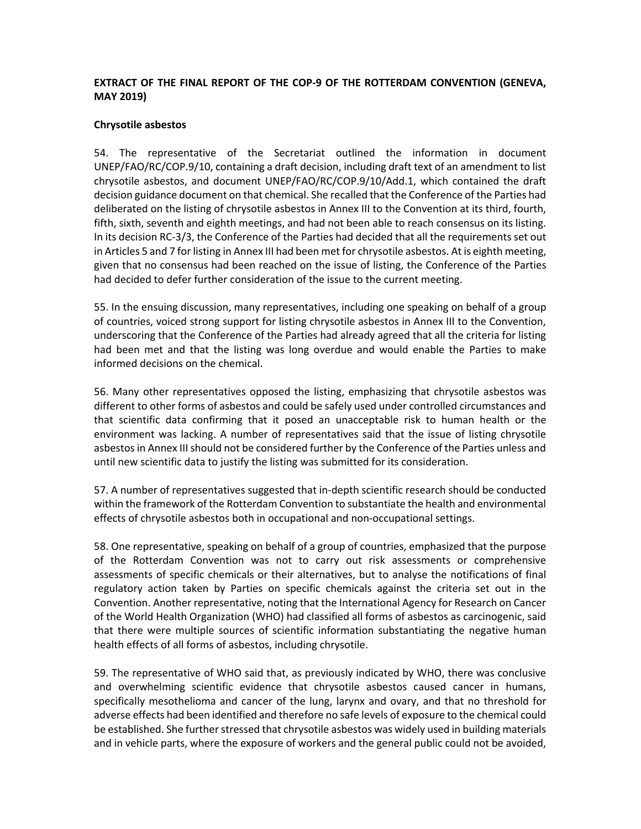## **EXTRACT OF THE FINAL REPORT OF THE COP-9 OF THE ROTTERDAM CONVENTION (GENEVA, MAY 2019)**

## **Chrysotile asbestos**

54. The representative of the Secretariat outlined the information in document UNEP/FAO/RC/COP.9/10, containing a draft decision, including draft text of an amendment to list chrysotile asbestos, and document UNEP/FAO/RC/COP.9/10/Add.1, which contained the draft decision guidance document on that chemical. She recalled that the Conference of the Parties had deliberated on the listing of chrysotile asbestos in Annex III to the Convention at its third, fourth, fifth, sixth, seventh and eighth meetings, and had not been able to reach consensus on its listing. In its decision RC-3/3, the Conference of the Parties had decided that all the requirements set out in Articles 5 and 7 for listing in Annex III had been met for chrysotile asbestos. At is eighth meeting, given that no consensus had been reached on the issue of listing, the Conference of the Parties had decided to defer further consideration of the issue to the current meeting.

55. In the ensuing discussion, many representatives, including one speaking on behalf of a group of countries, voiced strong support for listing chrysotile asbestos in Annex III to the Convention, underscoring that the Conference of the Parties had already agreed that all the criteria for listing had been met and that the listing was long overdue and would enable the Parties to make informed decisions on the chemical.

56. Many other representatives opposed the listing, emphasizing that chrysotile asbestos was different to other forms of asbestos and could be safely used under controlled circumstances and that scientific data confirming that it posed an unacceptable risk to human health or the environment was lacking. A number of representatives said that the issue of listing chrysotile asbestos in Annex III should not be considered further by the Conference of the Parties unless and until new scientific data to justify the listing was submitted for its consideration.

57. A number of representatives suggested that in-depth scientific research should be conducted within the framework of the Rotterdam Convention to substantiate the health and environmental effects of chrysotile asbestos both in occupational and non-occupational settings.

58. One representative, speaking on behalf of a group of countries, emphasized that the purpose of the Rotterdam Convention was not to carry out risk assessments or comprehensive assessments of specific chemicals or their alternatives, but to analyse the notifications of final regulatory action taken by Parties on specific chemicals against the criteria set out in the Convention. Another representative, noting that the International Agency for Research on Cancer of the World Health Organization (WHO) had classified all forms of asbestos as carcinogenic, said that there were multiple sources of scientific information substantiating the negative human health effects of all forms of asbestos, including chrysotile.

59. The representative of WHO said that, as previously indicated by WHO, there was conclusive and overwhelming scientific evidence that chrysotile asbestos caused cancer in humans, specifically mesothelioma and cancer of the lung, larynx and ovary, and that no threshold for adverse effects had been identified and therefore no safe levels of exposure to the chemical could be established. She further stressed that chrysotile asbestos was widely used in building materials and in vehicle parts, where the exposure of workers and the general public could not be avoided,